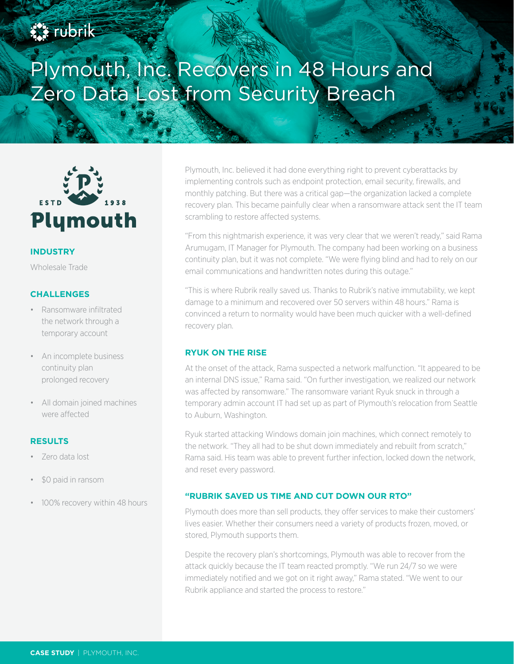# **SA rubrik**

# Plymouth, Inc. Recovers in 48 Hours and Zero Data Lost from Security Breach



# **INDUSTRY**

Wholesale Trade

# **CHALLENGES**

- Ransomware infiltrated the network through a temporary account
- An incomplete business continuity plan prolonged recovery
- All domain joined machines were affected

### **RESULTS**

- Zero data lost
- \$0 paid in ransom
- 100% recovery within 48 hours

Plymouth, Inc. believed it had done everything right to prevent cyberattacks by implementing controls such as endpoint protection, email security, firewalls, and monthly patching. But there was a critical gap—the organization lacked a complete recovery plan. This became painfully clear when a ransomware attack sent the IT team scrambling to restore affected systems.

"From this nightmarish experience, it was very clear that we weren't ready," said Rama Arumugam, IT Manager for Plymouth. The company had been working on a business continuity plan, but it was not complete. "We were flying blind and had to rely on our email communications and handwritten notes during this outage."

"This is where Rubrik really saved us. Thanks to Rubrik's native immutability, we kept damage to a minimum and recovered over 50 servers within 48 hours." Rama is convinced a return to normality would have been much quicker with a well-defined recovery plan.

#### **RYUK ON THE RISE**

At the onset of the attack, Rama suspected a network malfunction. "It appeared to be an internal DNS issue," Rama said. "On further investigation, we realized our network was affected by ransomware." The ransomware variant Ryuk snuck in through a temporary admin account IT had set up as part of Plymouth's relocation from Seattle to Auburn, Washington.

Ryuk started attacking Windows domain join machines, which connect remotely to the network. "They all had to be shut down immediately and rebuilt from scratch," Rama said. His team was able to prevent further infection, locked down the network, and reset every password.

#### **"RUBRIK SAVED US TIME AND CUT DOWN OUR RTO"**

Plymouth does more than sell products, they offer services to make their customers' lives easier. Whether their consumers need a variety of products frozen, moved, or stored, Plymouth supports them.

Despite the recovery plan's shortcomings, Plymouth was able to recover from the attack quickly because the IT team reacted promptly. "We run 24/7 so we were immediately notified and we got on it right away," Rama stated. "We went to our Rubrik appliance and started the process to restore."